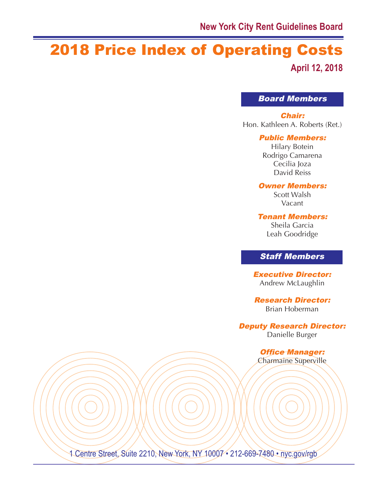# 2018 Price Index of Operating Costs **April 12, 2018**

Board Members

Chair:

Hon. Kathleen A. Roberts (Ret.)

### Public Members:

Hilary Botein Rodrigo Camarena Cecilia Joza David Reiss

### Owner Members:

Scott Walsh Vacant

Tenant Members:

Sheila Garcia Leah Goodridge

## Staff Members

Executive Director: Andrew McLaughlin

Research Director: Brian Hoberman

Deputy Research Director:

Danielle Burger

Office Manager: Charmaine Superville

1 Centre Street, Suite 2210, New York, NY 10007 • 212-669-7480 • nyc.gov/rgb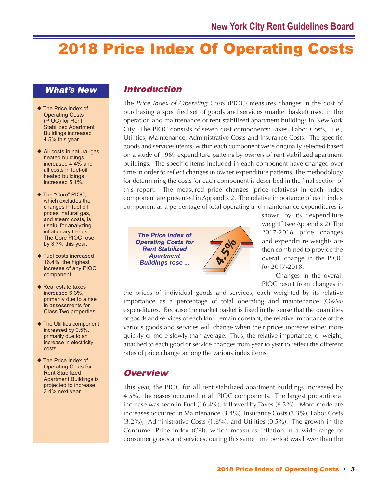# 2018 Price Index Of Operating Costs

## What's New

- ◆ The Price Index of Operating Costs (PIOC) for Rent Stabilized Apartment Buildings increased 4.5% this year.
- $\blacklozenge$  All costs in natural-gas heated buildings increased 4.4% and all costs in fuel-oil heated buildings increased 5.1%.
- ◆ The "Core" PIOC, which excludes the changes in fuel oil prices, natural gas, and steam costs, is useful for analyzing inflationary trends. The Core PIOC rose by 3.7% this year.
- $\blacklozenge$  Fuel costs increased 16.4%, the highest increase of any PIOC component.
- $\triangle$  Real estate taxes increased 6.3%, primarily due to a rise in assessments for Class Two properties.
- $\blacklozenge$  The Utilities component increased by 0.5%, primarily due to an increase in electricity costs.
- $\blacklozenge$  The Price Index of Operating Costs for Rent Stabilized Apartment Buildings is projected to increase 3.4% next year.

# Introduction

The *Price Index of Operating Costs* (PIOC) measures changes in the cost of purchasing a specified set of goods and services (market basket) used in the operation and maintenance of rent stabilized apartment buildings in New York City. The PIOC consists of seven cost components: Taxes, Labor Costs, Fuel, Utilities, Maintenance, Administrative Costs and Insurance Costs. The specific goods and services (items) within each component were originally selected based on a study of 1969 expenditure patterns by owners of rent stabilized apartment buildings. The specific items included in each component have changed over time in order to reflect changes in owner expenditure patterns. The methodology for determining the costs for each component is described in the final section of this report. The measured price changes (price relatives) in each index component are presented in Appendix 2. The relative importance of each index component as a percentage of total operating and maintenance expenditures is



shown by its "expenditure weight" (see Appendix 2). The 2017-2018 price changes and expenditure weights are then combined to provide the overall change in the PIOC for 2017-2018. 1

Changes in the overall PIOC result from changes in

the prices of individual goods and services, each weighted by its relative importance as a percentage of total operating and maintenance (O&M) expenditures. Because the market basket is fixed in the sense that the quantities of goods and services of each kind remain constant, the relative importance of the various goods and services will change when their prices increase either more quickly or more slowly than average. Thus, the relative importance, or weight, attached to each good or service changes from year to year to reflect the different rates of price change among the various index items.

# **Overview**

This year, the PIOC for all rent stabilized apartment buildings increased by 4.5%. Increases occurred in all PIOC components. The largest proportional increase was seen in Fuel (16.4%), followed by Taxes (6.3%). More moderate increases occurred in Maintenance (3.4%), Insurance Costs (3.3%), Labor Costs (3.2%), Administrative Costs (1.6%), and Utilities (0.5%). The growth in the Consumer Price Index (CPI), which measures inflation in a wide range of consumer goods and services, during this same time period was lower than the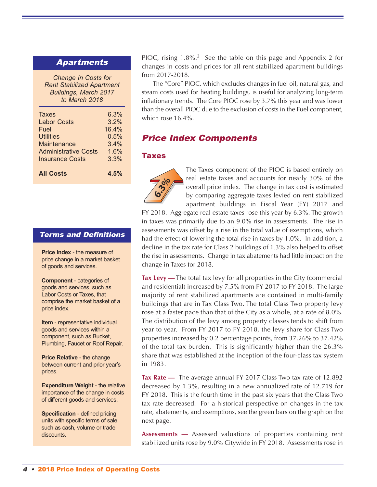## Apartments

*Change In Costs for Rent Stabilized Apartment Buildings, March 2017 to March 2018*

| <b>All Costs</b>            | 4.5%  |
|-----------------------------|-------|
| <b>Insurance Costs</b>      | 3.3%  |
| <b>Administrative Costs</b> | 1.6%  |
| Maintenance                 | 3.4%  |
| <b>Utilities</b>            | 0.5%  |
| Fuel                        | 16.4% |
| <b>Labor Costs</b>          | 3.2%  |
| <b>Taxes</b>                | 6.3%  |
|                             |       |

## Terms and Definitions

**Price Index** - the measure of price change in a market basket of goods and services.

**Component** - categories of goods and services, such as Labor Costs or Taxes, that comprise the market basket of a price index.

**Item** - representative individual goods and services within a component, such as Bucket, Plumbing, Faucet or Roof Repair.

**Price Relative** - the change between current and prior year's prices.

**Expenditure Weight** - the relative importance of the change in costs of different goods and services.

**Specification** - defined pricing units with specific terms of sale, such as cash, volume or trade discounts.

PIOC, rising  $1.8\%$ <sup>2</sup> See the table on this page and Appendix 2 for changes in costs and prices for all rent stabilized apartment buildings from 2017-2018.

The "Core" PIOC, which excludes changes in fuel oil, natural gas, and steam costs used for heating buildings, is useful for analyzing long-term inflationary trends. The Core PIOC rose by 3.7% this year and was lower than the overall PIOC due to the exclusion of costs in the Fuel component, which rose 16.4%.

## Price Index Components

### **Taxes**



The Taxes component of the PIOC is based entirely on real estate taxes and accounts for nearly 30% of the overall price index. The change in tax cost is estimated by comparing aggregate taxes levied on rent stabilized apartment buildings in Fiscal Year (FY) 2017 and

FY 2018. Aggregate real estate taxes rose this year by 6.3%. The growth in taxes was primarily due to an 9.0% rise in assessments. The rise in assessments was offset by a rise in the total value of exemptions, which had the effect of lowering the total rise in taxes by 1.0%. In addition, a decline in the tax rate for Class 2 buildings of 1.3% also helped to offset the rise in assessments. Change in tax abatements had little impact on the change in Taxes for 2018.

**Tax Levy —** The total tax levy for all properties in the City (commercial and residential) increased by 7.5% from FY 2017 to FY 2018. The large majority of rent stabilized apartments are contained in multi-family buildings that are in Tax Class Two. The total Class Two property levy rose at a faster pace than that of the City as a whole, at a rate of 8.0%. The distribution of the levy among property classes tends to shift from year to year. From FY 2017 to FY 2018, the levy share for Class Two properties increased by 0.2 percentage points, from 37.26% to 37.42% of the total tax burden. This is significantly higher than the 26.3% share that was established at the inception of the four-class tax system in 1983.

**Tax Rate —** The average annual FY 2017 Class Two tax rate of 12.892 decreased by 1.3%, resulting in a new annualized rate of 12.719 for FY 2018. This is the fourth time in the past six years that the Class Two tax rate decreased. For a historical perspective on changes in the tax rate, abatements, and exemptions, see the green bars on the graph on the next page.

**Assessments —** Assessed valuations of properties containing rent stabilized units rose by 9.0% Citywide in FY 2018. Assessments rose in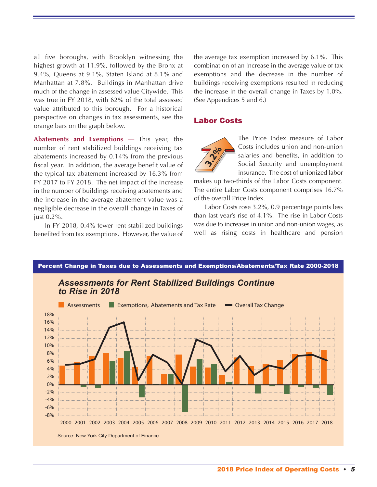all five boroughs, with Brooklyn witnessing the highest growth at 11.9%, followed by the Bronx at 9.4%, Queens at 9.1%, Staten Island at 8.1% and Manhattan at 7.8%. Buildings in Manhattan drive much of the change in assessed value Citywide. This was true in FY 2018, with 62% of the total assessed value attributed to this borough. For a historical perspective on changes in tax assessments, see the orange bars on the graph below.

**Abatements and Exemptions —** This year, the number of rent stabilized buildings receiving tax abatements increased by 0.14% from the previous fiscal year. In addition, the average benefit value of the typical tax abatement increased by 16.3% from FY 2017 to FY 2018. The net impact of the increase in the number of buildings receiving abatements and the increase in the average abatement value was a negligible decrease in the overall change in Taxes of just 0.2%.

In FY 2018, 0.4% fewer rent stabilized buildings benefited from tax exemptions. However, the value of the average tax exemption increased by 6.1%. This combination of an increase in the average value of tax exemptions and the decrease in the number of buildings receiving exemptions resulted in reducing the increase in the overall change in Taxes by 1.0%. (See Appendices 5 and 6.)

#### Labor Costs



The Price Index measure of Labor Costs includes union and non-union salaries and benefits, in addition to Social Security and unemployment insurance. The cost of unionized labor

makes up two-thirds of the Labor Costs component. The entire Labor Costs component comprises 16.7% of the overall Price Index.

Labor Costs rose 3.2%, 0.9 percentage points less than last year's rise of 4.1%. The rise in Labor Costs was due to increases in union and non-union wages, as well as rising costs in healthcare and pension

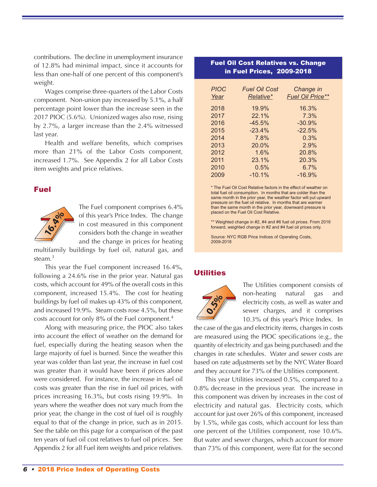contributions. The decline in unemployment insurance of 12.8% had minimal impact, since it accounts for less than one-half of one percent of this component's weight.

Wages comprise three-quarters of the Labor Costs component. Non-union pay increased by 5.1%, a half percentage point lower than the increase seen in the 2017 PIOC (5.6%). Unionized wages also rose, rising by 2.7%, a larger increase than the 2.4% witnessed last year.

Health and welfare benefits, which comprises more than 21% of the Labor Costs component, increased 1.7%. See Appendix 2 for all Labor Costs item weights and price relatives.

## Fuel



The Fuel component comprises 6.4% of this year's Price Index. The change in cost measured in this component considers both the change in weather and the change in prices for heating

multifamily buildings by fuel oil, natural gas, and steam. 3

This year the Fuel component increased 16.4%, following a 24.6% rise in the prior year. Natural gas costs, which account for 49% of the overall costs in this component, increased 15.4%. The cost for heating buildings by fuel oil makes up 43% of this component, and increased 19.9%. Steam costs rose 4.5%, but these costs account for only 8% of the Fuel component. 4

Along with measuring price, the PIOC also takes into account the effect of weather on the demand for fuel, especially during the heating season when the large majority of fuel is burned. Since the weather this year was colder than last year, the increase in fuel cost was greater than it would have been if prices alone were considered. For instance, the increase in fuel oil costs was greater than the rise in fuel oil prices, with prices increasing 16.3%, but costs rising 19.9%. In years where the weather does not vary much from the prior year, the change in the cost of fuel oil is roughly equal to that of the change in price, such as in 2015. See the table on this page for a comparison of the past ten years of fuel oil cost relatives to fuel oil prices. See Appendix 2 for all Fuel item weights and price relatives.

### Fuel Oil Cost Relatives vs. Change in Fuel Prices, 2009-2018

| <b>PIOC</b><br>Year | <b>Fuel Oil Cost</b><br>Relative* | Change in<br><b>Fuel Oil Price**</b> |
|---------------------|-----------------------------------|--------------------------------------|
| 2018                | 19.9%                             | 16.3%                                |
| 2017                | 22.1%                             | 7.3%                                 |
| 2016                | $-45.5%$                          | $-30.9%$                             |
| 2015                | $-23.4%$                          | $-22.5%$                             |
| 2014                | 7.8%                              | 0.3%                                 |
| 2013                | $20.0\%$                          | 2.9%                                 |
| 2012                | 1.6%                              | 20.8%                                |
| 2011                | 23.1%                             | 20.3%                                |
| 2010                | 0.5%                              | 6.7%                                 |
| 2009                | $-10.1%$                          | $-16.9%$                             |

\* The Fuel Oil Cost Relative factors in the effect of weather on total fuel oil consumption. In months that are colder than the same month in the prior year, the weather factor will put upward pressure on the fuel oil relative. In months that are warmer than the same month in the prior year, downward pressure is placed on the Fuel Oil Cost Relative.

\*\* Weighted change in #2, #4 and #6 fuel oil prices. From 2016 forward, weighted change in #2 and #4 fuel oil prices only.

Source: NYC RGB Price Indices of Operating Costs, 2009-2018

#### **Utilities**



The Utilities component consists of non-heating natural gas and electricity costs, as well as water and sewer charges, and it comprises 10.3% of this year's Price Index. In

the case of the gas and electricity items, changes in costs are measured using the PIOC specifications (e.g., the quantity of electricity and gas being purchased) and the changes in rate schedules. Water and sewer costs are based on rate adjustments set by the NYC Water Board and they account for 73% of the Utilities component.

This year Utilities increased 0.5%, compared to a 0.8% decrease in the previous year. The increase in this component was driven by increases in the cost of electricity and natural gas. Electricity costs, which account for just over 26% of this component, increased by 1.5%, while gas costs, which account for less than one percent of the Utilities component, rose 10.6%. But water and sewer charges, which account for more than 73% of this component, were flat for the second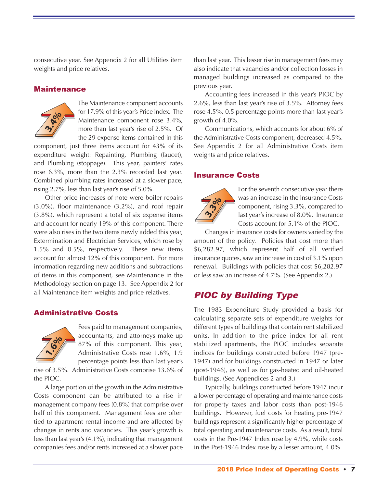consecutive year. See Appendix 2 for all Utilities item weights and price relatives.

### Maintenance



The Maintenance component accounts for 17.9% of this year's Price Index. The Maintenance component rose 3.4%, more than last year's rise of 2.5%. Of the 29 expense items contained in this

component, just three items account for 43% of its expenditure weight: Repainting, Plumbing (faucet), and Plumbing (stoppage). This year, painters' rates rose 6.3%, more than the 2.3% recorded last year. Combined plumbing rates increased at a slower pace, rising 2.7%, less than last year's rise of 5.0%.

Other price increases of note were boiler repairs (3.0%), floor maintenance (3.2%), and roof repair (3.8%), which represent a total of six expense items and account for nearly 19% of this component. There were also rises in the two items newly added this year, Extermination and Electrician Services, which rose by 1.5% and 0.5%, respectively. These new items account for almost 12% of this component. For more information regarding new additions and subtractions of items in this component, see Maintenance in the Methodology section on page 13. See Appendix 2 for all Maintenance item weights and price relatives.

## Administrative Costs



Fees paid to management companies, accountants, and attorneys make up 87% of this component. This year, Administrative Costs rose 1.6%, 1.9 percentage points less than last year's

rise of 3.5%. Administrative Costs comprise 13.6% of the PIOC.

A large portion of the growth in the Administrative Costs component can be attributed to a rise in management company fees (0.8%) that comprise over half of this component. Management fees are often tied to apartment rental income and are affected by changes in rents and vacancies. This year's growth is less than last year's (4.1%), indicating that management companies fees and/or rents increased at a slower pace

than last year. This lesser rise in management fees may also indicate that vacancies and/or collection losses in managed buildings increased as compared to the previous year.

Accounting fees increased in this year's PIOC by 2.6%, less than last year's rise of 3.5%. Attorney fees rose 4.5%, 0.5 percentage points more than last year's growth of 4.0%.

Communications, which accounts for about 6% of the Administrative Costs component, decreased 4.5%. See Appendix 2 for all Administrative Costs item weights and price relatives.

### Insurance Costs



For the seventh consecutive year there was an increase in the Insurance Costs component, rising 3.3%, compared to last year's increase of 8.0%. Insurance Costs account for 5.1% of the PIOC.

Changes in insurance costs for owners varied by the amount of the policy. Policies that cost more than \$6,282.97, which represent half of all verified insurance quotes, saw an increase in cost of 3.1% upon renewal. Buildings with policies that cost \$6,282.97 or less saw an increase of 4.7%. (See Appendix 2.)

# PIOC by Building Type

The 1983 Expenditure Study provided a basis for calculating separate sets of expenditure weights for different types of buildings that contain rent stabilized units. In addition to the price index for all rent stabilized apartments, the PIOC includes separate indices for buildings constructed before 1947 (pre-1947) and for buildings constructed in 1947 or later (post-1946), as well as for gas-heated and oil-heated buildings. (See Appendices 2 and 3.)

Typically, buildings constructed before 1947 incur a lower percentage of operating and maintenance costs for property taxes and labor costs than post-1946 buildings. However, fuel costs for heating pre-1947 buildings represent a significantly higher percentage of total operating and maintenance costs. As a result, total costs in the Pre-1947 Index rose by 4.9%, while costs in the Post-1946 Index rose by a lesser amount, 4.0%.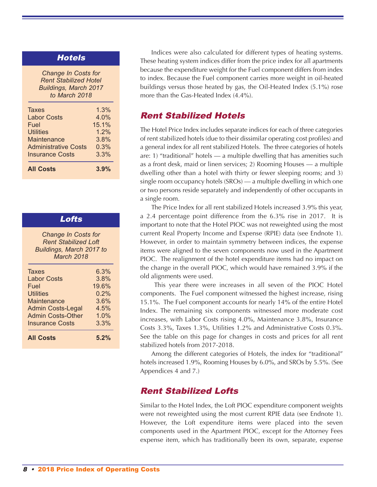## **Hotels**

*Change In Costs for Rent Stabilized Hotel Buildings, March 2017 to March 2018*

| <b>All Costs</b>            | 3.9%  |
|-----------------------------|-------|
| <b>Insurance Costs</b>      | 3.3%  |
| <b>Administrative Costs</b> | 0.3%  |
| Maintenance                 | 3.8%  |
| <b>Utilities</b>            | 1.2%  |
| Fuel                        | 15.1% |
| <b>Labor Costs</b>          | 4.0%  |
| <b>Taxes</b>                | 1.3%  |
|                             |       |

| Lofts                                                                                               |       |  |  |  |  |
|-----------------------------------------------------------------------------------------------------|-------|--|--|--|--|
| <b>Change In Costs for</b><br><b>Rent Stabilized Loft</b><br>Buildings, March 2017 to<br>March 2018 |       |  |  |  |  |
| Taxes                                                                                               | 6.3%  |  |  |  |  |
| <b>Labor Costs</b>                                                                                  | 3.8%  |  |  |  |  |
| Fuel                                                                                                | 19.6% |  |  |  |  |
| Utilities                                                                                           | 0.2%  |  |  |  |  |
| <b>Maintenance</b>                                                                                  | 3.6%  |  |  |  |  |
| <b>Admin Costs-Legal</b>                                                                            | 4.5%  |  |  |  |  |
| Admin Costs-Other                                                                                   | 1.0%  |  |  |  |  |
| <b>Insurance Costs</b>                                                                              | 3.3%  |  |  |  |  |
| <b>All Costs</b>                                                                                    | 5.2%  |  |  |  |  |

Indices were also calculated for different types of heating systems. These heating system indices differ from the price index for all apartments because the expenditure weight for the Fuel component differs from index to index. Because the Fuel component carries more weight in oil-heated buildings versus those heated by gas, the Oil-Heated Index (5.1%) rose more than the Gas-Heated Index (4.4%).

## Rent Stabilized Hotels

The Hotel Price Index includes separate indices for each of three categories of rent stabilized hotels (due to their dissimilar operating cost profiles) and a general index for all rent stabilized Hotels. The three categories of hotels are: 1) "traditional" hotels — a multiple dwelling that has amenities such as a front desk, maid or linen services; 2) Rooming Houses — a multiple dwelling other than a hotel with thirty or fewer sleeping rooms; and 3) single room occupancy hotels (SROs) — a multiple dwelling in which one or two persons reside separately and independently of other occupants in a single room.

The Price Index for all rent stabilized Hotels increased 3.9% this year, a 2.4 percentage point difference from the 6.3% rise in 2017. It is important to note that the Hotel PIOC was not reweighted using the most current Real Property Income and Expense (RPIE) data (see Endnote 1). However, in order to maintain symmetry between indices, the expense items were aligned to the seven components now used in the Apartment PIOC. The realignment of the hotel expenditure items had no impact on the change in the overall PIOC, which would have remained 3.9% if the old alignments were used.

This year there were increases in all seven of the PIOC Hotel components. The Fuel component witnessed the highest increase, rising 15.1%. The Fuel component accounts for nearly 14% of the entire Hotel Index. The remaining six components witnessed more moderate cost increases, with Labor Costs rising 4.0%, Maintenance 3.8%, Insurance Costs 3.3%, Taxes 1.3%, Utilities 1.2% and Administrative Costs 0.3%. See the table on this page for changes in costs and prices for all rent stabilized hotels from 2017-2018.

Among the different categories of Hotels, the index for "traditional" hotels increased 1.9%, Rooming Houses by 6.0%, and SROs by 5.5%. (See Appendices 4 and 7.)

## Rent Stabilized Lofts

Similar to the Hotel Index, the Loft PIOC expenditure component weights were not reweighted using the most current RPIE data (see Endnote 1). However, the Loft expenditure items were placed into the seven components used in the Apartment PIOC, except for the Attorney Fees expense item, which has traditionally been its own, separate, expense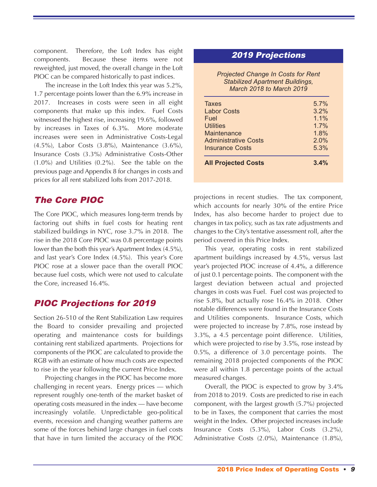component. Therefore, the Loft Index has eight components. Because these items were not reweighted, just moved, the overall change in the Loft PIOC can be compared historically to past indices.

The increase in the Loft Index this year was 5.2%, 1.7 percentage points lower than the 6.9% increase in 2017. Increases in costs were seen in all eight components that make up this index. Fuel Costs witnessed the highest rise, increasing 19.6%, followed by increases in Taxes of 6.3%. More moderate increases were seen in Administrative Costs-Legal (4.5%), Labor Costs (3.8%), Maintenance (3.6%), Insurance Costs (3.3%) Administrative Costs-Other (1.0%) and Utilities (0.2%). See the table on the previous page and Appendix 8 for changes in costs and prices for all rent stabilized lofts from 2017-2018.

# The Core PIOC

The Core PIOC, which measures long-term trends by factoring out shifts in fuel costs for heating rent stabilized buildings in NYC, rose 3.7% in 2018. The rise in the 2018 Core PIOC was 0.8 percentage points lower than the both this year's Apartment Index (4.5%), and last year's Core Index (4.5%). This year's Core PIOC rose at a slower pace than the overall PIOC because fuel costs, which were not used to calculate the Core, increased 16.4%.

# PIOC Projections for 2019

Section 26-510 of the Rent Stabilization Law requires the Board to consider prevailing and projected operating and maintenance costs for buildings containing rent stabilized apartments. Projections for components of the PIOC are calculated to provide the RGB with an estimate of how much costs are expected to rise in the year following the current Price Index.

Projecting changes in the PIOC has become more challenging in recent years. Energy prices — which represent roughly one-tenth of the market basket of operating costs measured in the index — have become increasingly volatile. Unpredictable geo-political events, recession and changing weather patterns are some of the forces behind large changes in fuel costs that have in turn limited the accuracy of the PIOC

## 2019 Projections

*Projected Change In Costs for Rent Stabilized Apartment Buildings, March 2018 to March 2019*

| <b>All Projected Costs</b>  | 3.4% |
|-----------------------------|------|
| <b>Insurance Costs</b>      | 5.3% |
| <b>Administrative Costs</b> | 2.0% |
| Maintenance                 | 1.8% |
| <b>Utilities</b>            | 1.7% |
| Fuel                        | 1.1% |
| <b>Labor Costs</b>          | 3.2% |
| <b>Taxes</b>                | 5.7% |

projections in recent studies. The tax component, which accounts for nearly 30% of the entire Price Index, has also become harder to project due to changes in tax policy, such as tax rate adjustments and changes to the City's tentative assessment roll, after the period covered in this Price Index.

This year, operating costs in rent stabilized apartment buildings increased by 4.5%, versus last year's projected PIOC increase of 4.4%, a difference of just 0.1 percentage points. The component with the largest deviation between actual and projected changes in costs was Fuel. Fuel cost was projected to rise 5.8%, but actually rose 16.4% in 2018. Other notable differences were found in the Insurance Costs and Utilities components. Insurance Costs, which were projected to increase by 7.8%, rose instead by 3.3%, a 4.5 percentage point difference. Utilities, which were projected to rise by 3.5%, rose instead by 0.5%, a difference of 3.0 percentage points. The remaining 2018 projected components of the PIOC were all within 1.8 percentage points of the actual measured changes.

Overall, the PIOC is expected to grow by 3.4% from 2018 to 2019. Costs are predicted to rise in each component, with the largest growth (5.7%) projected to be in Taxes, the component that carries the most weight in the Index. Other projected increases include Insurance Costs (5.3%), Labor Costs (3.2%), Administrative Costs (2.0%), Maintenance (1.8%),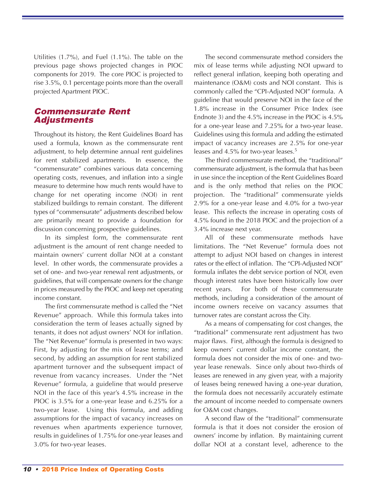Utilities (1.7%), and Fuel (1.1%). The table on the previous page shows projected changes in PIOC components for 2019. The core PIOC is projected to rise 3.5%, 0.1 percentage points more than the overall projected Apartment PIOC.

## Commensurate Rent Adjustments

Throughout its history, the Rent Guidelines Board has used a formula, known as the commensurate rent adjustment, to help determine annual rent guidelines for rent stabilized apartments. In essence, the "commensurate" combines various data concerning operating costs, revenues, and inflation into a single measure to determine how much rents would have to change for net operating income (NOI) in rent stabilized buildings to remain constant. The different types of "commensurate" adjustments described below are primarily meant to provide a foundation for discussion concerning prospective guidelines.

In its simplest form, the commensurate rent adjustment is the amount of rent change needed to maintain owners' current dollar NOI at a constant level. In other words, the commensurate provides a set of one- and two-year renewal rent adjustments, or guidelines, that will compensate owners for the change in prices measured by the PIOC and keep net operating income constant.

The first commensurate method is called the "Net Revenue" approach. While this formula takes into consideration the term of leases actually signed by tenants, it does not adjust owners' NOI for inflation. The "Net Revenue" formula is presented in two ways: First, by adjusting for the mix of lease terms; and second, by adding an assumption for rent stabilized apartment turnover and the subsequent impact of revenue from vacancy increases. Under the "Net Revenue" formula, a guideline that would preserve NOI in the face of this year's 4.5% increase in the PIOC is 3.5% for a one-year lease and 6.25% for a two-year lease. Using this formula, and adding assumptions for the impact of vacancy increases on revenues when apartments experience turnover, results in guidelines of 1.75% for one-year leases and 3.0% for two-year leases.

The second commensurate method considers the mix of lease terms while adjusting NOI upward to reflect general inflation, keeping both operating and maintenance (O&M) costs and NOI constant. This is commonly called the "CPI-Adjusted NOI" formula. A guideline that would preserve NOI in the face of the 1.8% increase in the Consumer Price Index (see Endnote 3) and the 4.5% increase in the PIOC is 4.5% for a one-year lease and 7.25% for a two-year lease. Guidelines using this formula and adding the estimated impact of vacancy increases are 2.5% for one-year leases and 4.5% for two-year leases. 5

The third commensurate method, the "traditional" commensurate adjustment, is the formula that has been in use since the inception of the Rent Guidelines Board and is the only method that relies on the PIOC projection. The "traditional" commensurate yields 2.9% for a one-year lease and 4.0% for a two-year lease. This reflects the increase in operating costs of 4.5% found in the 2018 PIOC and the projection of a 3.4% increase next year.

All of these commensurate methods have limitations. The "Net Revenue" formula does not attempt to adjust NOI based on changes in interest rates or the effect of inflation. The "CPI-Adjusted NOI" formula inflates the debt service portion of NOI, even though interest rates have been historically low over recent years. For both of these commensurate methods, including a consideration of the amount of income owners receive on vacancy assumes that turnover rates are constant across the City.

As a means of compensating for cost changes, the "traditional" commensurate rent adjustment has two major flaws. First, although the formula is designed to keep owners' current dollar income constant, the formula does not consider the mix of one- and twoyear lease renewals. Since only about two-thirds of leases are renewed in any given year, with a majority of leases being renewed having a one-year duration, the formula does not necessarily accurately estimate the amount of income needed to compensate owners for O&M cost changes.

A second flaw of the "traditional" commensurate formula is that it does not consider the erosion of owners' income by inflation. By maintaining current dollar NOI at a constant level, adherence to the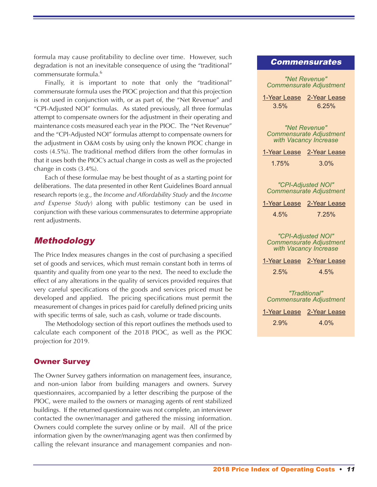formula may cause profitability to decline over time. However, such degradation is not an inevitable consequence of using the "traditional" commensurate formula. 6

Finally, it is important to note that only the "traditional" commensurate formula uses the PIOC projection and that this projection is not used in conjunction with, or as part of, the "Net Revenue" and "CPI-Adjusted NOI" formulas. As stated previously, all three formulas attempt to compensate owners for the adjustment in their operating and maintenance costs measured each year in the PIOC. The "Net Revenue" and the "CPI-Adjusted NOI" formulas attempt to compensate owners for the adjustment in O&M costs by using only the known PIOC change in costs (4.5%). The traditional method differs from the other formulas in that it uses both the PIOC's actual change in costs as well as the projected change in costs (3.4%).

Each of these formulae may be best thought of as a starting point for deliberations. The data presented in other Rent Guidelines Board annual research reports (e.g., the *Income and Affordability Study* and the *Income and Expense Study*) along with public testimony can be used in conjunction with these various commensurates to determine appropriate rent adjustments.

## Methodology

The Price Index measures changes in the cost of purchasing a specified set of goods and services, which must remain constant both in terms of quantity and quality from one year to the next. The need to exclude the effect of any alterations in the quality of services provided requires that very careful specifications of the goods and services priced must be developed and applied. The pricing specifications must permit the measurement of changes in prices paid for carefully defined pricing units with specific terms of sale, such as cash, volume or trade discounts.

The Methodology section of this report outlines the methods used to calculate each component of the 2018 PIOC, as well as the PIOC projection for 2019.

## Owner Survey

The Owner Survey gathers information on management fees, insurance, and non-union labor from building managers and owners. Survey questionnaires, accompanied by a letter describing the purpose of the PIOC, were mailed to the owners or managing agents of rent stabilized buildings. If the returned questionnaire was not complete, an interviewer contacted the owner/manager and gathered the missing information. Owners could complete the survey online or by mail. All of the price information given by the owner/managing agent was then confirmed by calling the relevant insurance and management companies and non-

### Commensurates

| "Net Revenue"<br><b>Commensurate Adjustment</b>                               |
|-------------------------------------------------------------------------------|
| 1-Year Lease 2-Year Lease<br>$3.5\%$<br>6.25%                                 |
|                                                                               |
| "Net Revenue"<br><b>Commensurate Adjustment</b><br>with Vacancy Increase      |
| 1-Year Lease 2-Year Lease                                                     |
| 1.75%<br>3.0%                                                                 |
|                                                                               |
| "CPI-Adjusted NOI"<br><b>Commensurate Adjustment</b>                          |
| 1-Year Lease 2-Year Lease                                                     |
| 4.5%<br>7.25%                                                                 |
|                                                                               |
| "CPI-Adjusted NOI"<br><b>Commensurate Adjustment</b><br>with Vacancy Increase |
| 1-Year Lease 2-Year Lease                                                     |
| 2.5%<br>4.5%                                                                  |
|                                                                               |
| "Traditional"                                                                 |
| <b>Commensurate Adjustment</b>                                                |
| 1-Year Lease 2-Year Lease                                                     |
| 2.9%<br>4.0%                                                                  |
|                                                                               |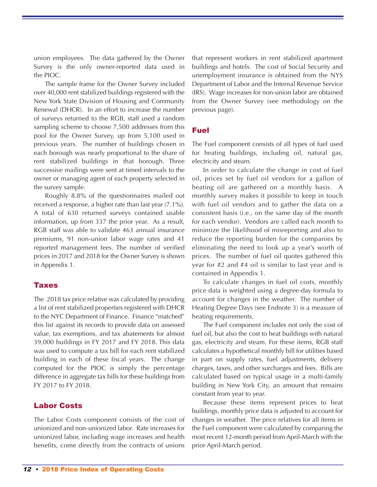union employees. The data gathered by the Owner Survey is the only owner-reported data used in the PIOC.

The sample frame for the Owner Survey included over 40,000 rent stabilized buildings registered with the New York State Division of Housing and Community Renewal (DHCR). In an effort to increase the number of surveys returned to the RGB, staff used a random sampling scheme to choose 7,500 addresses from this pool for the Owner Survey, up from 5,100 used in previous years. The number of buildings chosen in each borough was nearly proportional to the share of rent stabilized buildings in that borough. Three successive mailings were sent at timed intervals to the owner or managing agent of each property selected in the survey sample.

Roughly 8.8% of the questionnaires mailed out received a response, a higher rate than last year (7.1%). A total of 630 returned surveys contained usable information, up from 337 the prior year. As a result, RGB staff was able to validate 463 annual insurance premiums, 91 non-union labor wage rates and 41 reported management fees. The number of verified prices in 2017 and 2018 for the Owner Survey is shown in Appendix 1.

#### Taxes

The 2018 tax price relative was calculated by providing a list of rent stabilized properties registered with DHCR to the NYC Department of Finance. Finance "matched" this list against its records to provide data on assessed value, tax exemptions, and tax abatements for almost 39,000 buildings in FY 2017 and FY 2018. This data was used to compute a tax bill for each rent stabilized building in each of these fiscal years. The change computed for the PIOC is simply the percentage difference in aggregate tax bills for these buildings from FY 2017 to FY 2018.

## Labor Costs

The Labor Costs component consists of the cost of unionized and non-unionized labor. Rate increases for unionized labor, including wage increases and health benefits, come directly from the contracts of unions

that represent workers in rent stabilized apartment buildings and hotels. The cost of Social Security and unemployment insurance is obtained from the NYS Department of Labor and the Internal Revenue Service (IRS). Wage increases for non-union labor are obtained from the Owner Survey (see methodology on the previous page).

## Fuel

The Fuel component consists of all types of fuel used for heating buildings, including oil, natural gas, electricity and steam.

In order to calculate the change in cost of fuel oil, prices set by fuel oil vendors for a gallon of heating oil are gathered on a monthly basis. A monthly survey makes it possible to keep in touch with fuel oil vendors and to gather the data on a consistent basis (i.e., on the same day of the month for each vendor). Vendors are called each month to minimize the likelihood of misreporting and also to reduce the reporting burden for the companies by eliminating the need to look up a year's worth of prices. The number of fuel oil quotes gathered this year for #2 and #4 oil is similar to last year and is contained in Appendix 1.

To calculate changes in fuel oil costs, monthly price data is weighted using a degree-day formula to account for changes in the weather. The number of Heating Degree Days (see Endnote 3) is a measure of heating requirements.

The Fuel component includes not only the cost of fuel oil, but also the cost to heat buildings with natural gas, electricity and steam. For these items, RGB staff calculates a hypothetical monthly bill for utilities based in part on supply rates, fuel adjustments, delivery charges, taxes, and other surcharges and fees. Bills are calculated based on typical usage in a multi-family building in New York City, an amount that remains constant from year to year.

Because these items represent prices to heat buildings, monthly price data is adjusted to account for changes in weather. The price relatives for all items in the Fuel component were calculated by comparing the most recent 12-month period from April-March with the prior April-March period.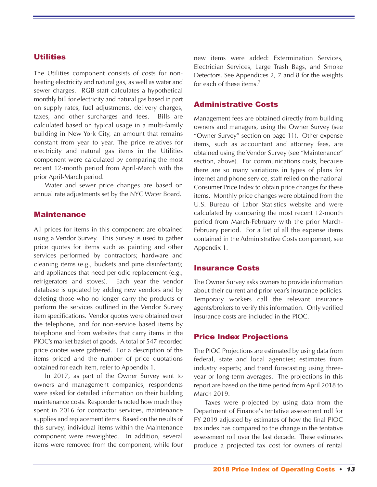## **Utilities**

The Utilities component consists of costs for nonheating electricity and natural gas, as well as water and sewer charges. RGB staff calculates a hypothetical monthly bill for electricity and natural gas based in part on supply rates, fuel adjustments, delivery charges, taxes, and other surcharges and fees. Bills are calculated based on typical usage in a multi-family building in New York City, an amount that remains constant from year to year. The price relatives for electricity and natural gas items in the Utilities component were calculated by comparing the most recent 12-month period from April-March with the prior April-March period.

Water and sewer price changes are based on annual rate adjustments set by the NYC Water Board.

### Maintenance

All prices for items in this component are obtained using a Vendor Survey. This Survey is used to gather price quotes for items such as painting and other services performed by contractors; hardware and cleaning items (e.g., buckets and pine disinfectant); and appliances that need periodic replacement (e.g., refrigerators and stoves). Each year the vendor database is updated by adding new vendors and by deleting those who no longer carry the products or perform the services outlined in the Vendor Survey item specifications. Vendor quotes were obtained over the telephone, and for non-service based items by telephone and from websites that carry items in the PIOC's market basket of goods. A total of 547 recorded price quotes were gathered. For a description of the items priced and the number of price quotations obtained for each item, refer to Appendix 1.

In 2017, as part of the Owner Survey sent to owners and management companies, respondents were asked for detailed information on their building maintenance costs. Respondents noted how much they spent in 2016 for contractor services, maintenance supplies and replacement items. Based on the results of this survey, individual items within the Maintenance component were reweighted. In addition, several items were removed from the component, while four

new items were added: Extermination Services, Electrician Services, Large Trash Bags, and Smoke Detectors. See Appendices 2, 7 and 8 for the weights for each of these items. 7

### Administrative Costs

Management fees are obtained directly from building owners and managers, using the Owner Survey (see "Owner Survey" section on page 11). Other expense items, such as accountant and attorney fees, are obtained using the Vendor Survey (see "Maintenance" section, above). For communications costs, because there are so many variations in types of plans for internet and phone service, staff relied on the national Consumer Price Index to obtain price changes for these items. Monthly price changes were obtained from the U.S. Bureau of Labor Statistics website and were calculated by comparing the most recent 12-month period from March-February with the prior March-February period. For a list of all the expense items contained in the Administrative Costs component, see Appendix 1.

#### Insurance Costs

The Owner Survey asks owners to provide information about their current and prior year's insurance policies. Temporary workers call the relevant insurance agents/brokers to verify this information. Only verified insurance costs are included in the PIOC.

## Price Index Projections

The PIOC Projections are estimated by using data from federal, state and local agencies; estimates from industry experts; and trend forecasting using threeyear or long-term averages. The projections in this report are based on the time period from April 2018 to March 2019.

Taxes were projected by using data from the Department of Finance's tentative assessment roll for FY 2019 adjusted by estimates of how the final PIOC tax index has compared to the change in the tentative assessment roll over the last decade. These estimates produce a projected tax cost for owners of rental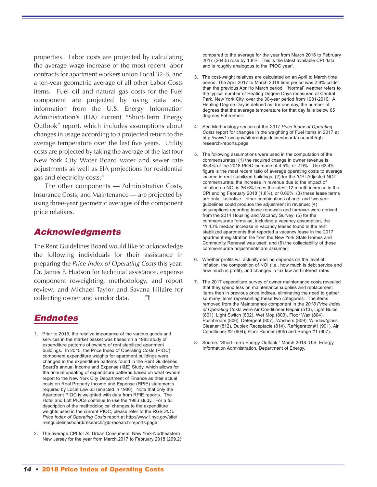properties. Labor costs are projected by calculating the average wage increase of the most recent labor contracts for apartment workers union Local 32-BJ and a ten-year geometric average of all other Labor Costs items. Fuel oil and natural gas costs for the Fuel component are projected by using data and information from the U.S. Energy Information Administration's (EIA) current "Short-Term Energy Outlook" report, which includes assumptions about changes in usage according to a projected return to the average temperature over the last five years. Utility costs are projected by taking the average of the last four New York City Water Board water and sewer rate adjustments as well as EIA projections for residential gas and electricity costs.<sup>8</sup>

The other components — Administrative Costs, Insurance Costs, and Maintenance — are projected by using three-year geometric averages of the component price relatives.

## Acknowledgments

The Rent Guidelines Board would like to acknowledge the following individuals for their assistance in preparing the *Price Index of Operating Costs* this year: Dr. James F. Hudson for technical assistance, expense component reweighting, methodology, and report review; and Michael Taylor and Savana Hilaire for collecting owner and vendor data.

## Endnotes

- 1. Prior to 2015, the relative importance of the various goods and services in the market basket was based on a 1983 study of expenditure patterns of owners of rent stabilized apartment buildings. In 2015, the Price Index of Operating Costs (PIOC) component expenditure weights for apartment buildings were changed to the expenditure patterns found in the Rent Guidelines Board's annual Income and Expense (I&E) Study, which allows for the annual updating of expenditure patterns based on what owners report to the New York City Department of Finance as their actual costs on Real Property Income and Expense (RPIE) statements required by Local Law 63 (enacted in 1986). Note that only the Apartment PIOC is weighted with data from RPIE reports. The Hotel and Loft PIOCs continue to use the 1983 study. For a full description of the methodological changes to the expenditure weights used in the current PIOC, please refer to the RGB *2015 Price Index of Operating Costs* report at http://www1.nyc.gov/site/ rentguidelinesboard/research/rgb-research-reports.page
- 2. The average CPI for All Urban Consumers, New York-Northeastern New Jersey for the year from March 2017 to February 2018 (269.2)

compared to the average for the year from March 2016 to February 2017 (264.5) rose by 1.8%. This is the latest available CPI data and is roughly analogous to the 'PIOC year'.

- 3. The cost-weight relatives are calculated on an April to March time period. The April 2017 to March 2018 time period was 2.9% colder than the previous April to March period. "Normal" weather refers to the typical number of Heating Degree Days measured at Central Park, New York City, over the 30-year period from 1981-2010. A Heating Degree Day is defined as, for one day, the number of degrees that the average temperature for that day falls below 65 degrees Fahrenheit.
- 4. See Methodology section of the *2017 Price Index of Operating Costs* report for changes in the weighting of Fuel items in 2017 at http://www1.nyc.gov/site/rentguidelinesboard/research/rgbresearch-reports.page
- 5. The following assumptions were used in the computation of the commensurates: (1) the required change in owner revenue is 63.4% of the 2018 PIOC increase of 4.5%, or 2.9%. The 63.4% figure is the most recent ratio of average operating costs to average income in rent stabilized buildings; (2) for the "CPI-Adjusted NOI" commensurate, the increase in revenue due to the impact of inflation on NOI is 36.6% times the latest 12-month increase in the CPI ending February 2018 (1.8%), or 0.66%; (3) these lease terms are only illustrative—other combinations of one- and two-year guidelines could produce the adjustment in revenue; (4) assumptions regarding lease renewals and turnover were derived from the 2014 Housing and Vacancy Survey; (5) for the commensurate formulae, including a vacancy assumption, the 11.43% median increase in vacancy leases found in the rent stabilized apartments that reported a vacancy lease in the 2017 apartment registration file from the New York State Homes and Community Renewal was used; and (6) the collectability of these commensurate adjustments are assumed.
- 6. Whether profits will actually decline depends on the level of inflation, the composition of NOI (i.e., how much is debt service and how much is profit), and changes in tax law and interest rates.
- 7. The 2017 expenditure survey of owner maintenance costs revealed that they spend less on maintenance supplies and replacement items then in previous price indices, eliminating the need to gather so many items representing these two categories. The items removed from the Maintenance component in the *2018 Price Index of Operating Costs* were Air Conditioner Repair (513), Light Bulbs (801), Light Switch (802), Wet Mop (803), Floor Wax (804), Pushbroom (806), Detergent (807), Washers (809), Window/glass Cleaner (812), Duplex Receptacle (814), Refrigerator #1 (901), Air Conditioner #2 (904), Floor Runner (905) and Range #1 (907).
- 8. Source: "Short-Term Energy Outlook," March 2018. U.S. Energy Information Administration, Department of Energy.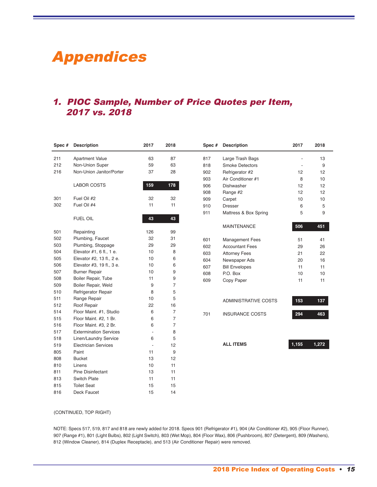# Appendices

# 1. PIOC Sample, Number of Price Quotes per Item, vs. 2018

| Spec # | <b>Description</b>            | 2017 | 2018           | Spec# | <b>Description</b>          | 2017  | 2018  |
|--------|-------------------------------|------|----------------|-------|-----------------------------|-------|-------|
| 211    | <b>Apartment Value</b>        | 63   | 87             | 817   | Large Trash Bags            |       | 13    |
| 212    | Non-Union Super               | 59   | 63             | 818   | <b>Smoke Detectors</b>      |       | 9     |
| 216    | Non-Union Janitor/Porter      | 37   | 28             | 902   | Refrigerator #2             | 12    | 12    |
|        |                               |      |                | 903   | Air Conditioner #1          | 8     | 10    |
|        | <b>LABOR COSTS</b>            | 159  | 178            | 906   | Dishwasher                  | 12    | 12    |
|        |                               |      |                | 908   | Range #2                    | 12    | 12    |
| 301    | Fuel Oil #2                   | 32   | 32             | 909   | Carpet                      | 10    | 10    |
| 302    | Fuel Oil #4                   | 11   | 11             | 910   | <b>Dresser</b>              | 6     | 5     |
|        |                               |      |                | 911   | Mattress & Box Spring       | 5     | 9     |
|        | <b>FUEL OIL</b>               | 43   | 43             |       |                             |       |       |
|        |                               |      |                |       | <b>MAINTENANCE</b>          | 506   | 451   |
| 501    | Repainting                    | 126  | 99             |       |                             |       |       |
| 502    | Plumbing, Faucet              | 32   | 31             | 601   | <b>Management Fees</b>      | 51    | 41    |
| 503    | Plumbing, Stoppage            | 29   | 29             | 602   | <b>Accountant Fees</b>      | 29    | 26    |
| 504    | Elevator #1, 6 fl., 1 e.      | 10   | 8              | 603   | <b>Attorney Fees</b>        | 21    | 22    |
| 505    | Elevator #2, 13 fl., 2 e.     | 10   | 6              | 604   | Newspaper Ads               | 20    | 16    |
| 506    | Elevator #3, 19 fl., 3 e.     | 10   | 6              | 607   | <b>Bill Envelopes</b>       | 11    | 11    |
| 507    | <b>Burner Repair</b>          | 10   | 9              | 608   | P.O. Box                    | 10    | 10    |
| 508    | Boiler Repair, Tube           | 11   | 9              | 609   | Copy Paper                  | 11    | 11    |
| 509    | Boiler Repair, Weld           | 9    | $\overline{7}$ |       |                             |       |       |
| 510    | Refrigerator Repair           | 8    | 5              |       |                             |       |       |
| 511    | Range Repair                  | 10   | 5              |       | <b>ADMINISTRATIVE COSTS</b> | 153   | 137   |
| 512    | Roof Repair                   | 22   | 16             |       |                             |       |       |
| 514    | Floor Maint. #1, Studio       | 6    | 7              | 701   | <b>INSURANCE COSTS</b>      | 294   | 463   |
| 515    | Floor Maint. #2, 1 Br.        | 6    | $\overline{7}$ |       |                             |       |       |
| 516    | Floor Maint. #3, 2 Br.        | 6    | 7              |       |                             |       |       |
| 517    | <b>Extermination Services</b> | ÷,   | 8              |       |                             |       |       |
| 518    | Linen/Laundry Service         | 6    | 5              |       |                             |       |       |
| 519    | <b>Electrician Services</b>   | ÷,   | 12             |       | <b>ALL ITEMS</b>            | 1,155 | 1,272 |
| 805    | Paint                         | 11   | 9              |       |                             |       |       |
| 808    | <b>Bucket</b>                 | 13   | 12             |       |                             |       |       |
| 810    | Linens                        | 10   | 11             |       |                             |       |       |
| 811    | <b>Pine Disinfectant</b>      | 13   | 11             |       |                             |       |       |
| 813    | Switch Plate                  | 11   | 11             |       |                             |       |       |
| 815    | <b>Toilet Seat</b>            | 15   | 15             |       |                             |       |       |
| 816    | Deck Faucet                   | 15   | 14             |       |                             |       |       |

#### (CONTINUED, TOP RIGHT)

NOTE: Specs 517, 519, 817 and 818 are newly added for 2018. Specs 901 (Refrigerator #1), 904 (Air Conditioner #2), 905 (Floor Runner), (Range #1), 801 (Light Bulbs), 802 (Light Switch), 803 (Wet Mop), 804 (Floor Wax), 806 (Pushbroom), 807 (Detergent), 809 (Washers), (Window Cleaner), 814 (Duplex Receptacle), and 513 (Air Conditioner Repair) were removed.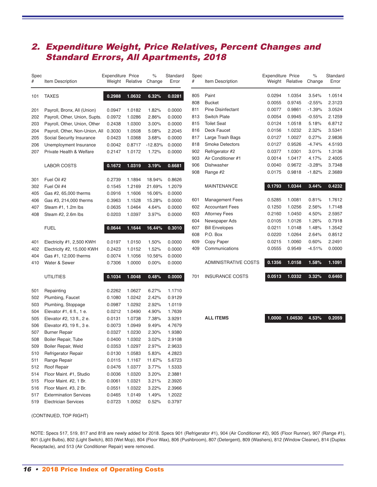# 2. Expenditure Weight, Price Relatives, Percent Changes and Standard Errors, All Apartments, 2018

| Spec<br>#  | Item Description                                   | <b>Expenditure Price</b><br>Weight | Relative         | $\%$<br>Change     | Standard<br>Error |
|------------|----------------------------------------------------|------------------------------------|------------------|--------------------|-------------------|
| 101        | <b>TAXES</b>                                       | 0.2988                             | 1.0632           | 6.32%              | 0.0281            |
| 201        | Payroll, Bronx, All (Union)                        | 0.0947                             | 1.0182           | 1.82%              | 0.0000            |
| 202        | Payroll, Other, Union, Supts.                      | 0.0972                             | 1.0286           | 2.86%              | 0.0000            |
| 203        | Payroll, Other, Union, Other                       | 0.2438                             | 1.0300           | 3.00%              | 0.0000            |
| 204        | Payroll, Other, Non-Union, All                     | 0.3030                             | 1.0508           | 5.08%              | 2.2045            |
| 205        | Social Security Insurance                          | 0.0423                             | 1.0368           | 3.68%              | 0.0000            |
| 206<br>207 | Unemployment Insurance<br>Private Health & Welfare | 0.0042<br>0.2147                   | 0.8717<br>1.0172 | $-12.83%$<br>1.72% | 0.0000<br>0.0000  |
|            |                                                    |                                    |                  |                    |                   |
|            | <b>LABOR COSTS</b>                                 | 0.1672                             | 1.0319           | 3.19%              | 0.6681            |
| 301        | Fuel Oil #2                                        | 0.2739                             | 1.1894           | 18.94%             | 0.8626            |
| 302        | Fuel Oil #4                                        | 0.1545                             | 1.2169           | 21.69%             | 1.2079            |
| 405        | Gas #2, 65,000 therms                              | 0.0916                             | 1.1606           | 16.06%             | 0.0000            |
| 406        | Gas #3, 214,000 therms                             | 0.3963                             | 1.1528           | 15.28%             | 0.0000            |
| 407        | Steam #1, 1.2m lbs                                 | 0.0635                             | 1.0464           | 4.64%              | 0.0000            |
| 408        | Steam #2, 2.6m lbs                                 | 0.0203                             | 1.0397           | 3.97%              | 0.0000            |
|            | <b>FUEL</b>                                        | 0.0644                             | 1.1644           | 16.44%             | 0.3010            |
| 401        | Electricity #1, 2,500 KWH                          | 0.0197                             | 1.0150           | 1.50%              | 0.0000            |
| 402        | Electricity #2, 15,000 KWH                         | 0.2423                             | 1.0152           | 1.52%              | 0.0000            |
| 404        | Gas #1, 12,000 therms                              | 0.0074                             | 1.1056           | 10.56%             | 0.0000            |
| 410        | Water & Sewer                                      | 0.7306                             | 1.0000           | $0.00\%$           | 0.0000            |
|            | <b>UTILITIES</b>                                   | 0.1034                             | 1.0048           | 0.48%              | 0.0000            |
| 501        |                                                    | 0.2262                             | 1.0627           | 6.27%              | 1.1710            |
| 502        | Repainting<br>Plumbing, Faucet                     | 0.1080                             | 1.0242           | 2.42%              | 0.9129            |
| 503        | Plumbing, Stoppage                                 | 0.0987                             | 1.0292           | 2.92%              | 1.0119            |
| 504        | Elevator #1, 6 fl., 1 e.                           | 0.0212                             | 1.0490           | 4.90%              | 1.7639            |
| 505        | Elevator #2, 13 fl., 2 e.                          | 0.0131                             | 1.0738           | 7.38%              | 3.9291            |
| 506        | Elevator #3, 19 fl., 3 e.                          | 0.0073                             | 1.0949           | 9.49%              | 4.7679            |
| 507        | <b>Burner Repair</b>                               | 0.0327                             | 1.0230           | 2.30%              | 1.9380            |
| 508        | Boiler Repair, Tube                                | 0.0400                             | 1.0302           | 3.02%              | 2.9108            |
| 509        | Boiler Repair, Weld                                | 0.0353                             | 1.0297           | 2.97%              | 2.9633            |
| 510        | Refrigerator Repair                                | 0.0130                             | 1.0583           | 5.83%              | 4.2823            |
| 511        | Range Repair                                       | 0.0115                             | 1.1167           | 11.67%             | 5.6723            |
| 512        | Roof Repair                                        | 0.0476                             | 1.0377           | 3.77%              | 1.5333            |
| 514        | Floor Maint. #1, Studio                            | 0.0036                             | 1.0320           | 3.20%              | 2.3881            |
| 515        | Floor Maint. #2, 1 Br.                             | 0.0061                             | 1.0321           | 3.21%              | 2.3920            |
| 516        | Floor Maint. #3, 2 Br.                             | 0.0551                             | 1.0322           | 3.22%              | 2.3966            |
| 517        | <b>Extermination Services</b>                      | 0.0465                             | 1.0149           | 1.49%              | 1.2022            |
| 519        | <b>Electrician Services</b>                        | 0.0723                             | 1.0052           | 0.52%              | 0.3797            |

| Spec<br># | Item Description            | Expenditure Price<br>Weight | Relative | $\%$<br>Change | Standard<br>Error |
|-----------|-----------------------------|-----------------------------|----------|----------------|-------------------|
| 805       | Paint                       | 0.0294                      | 1.0354   | 3.54%          | 1.0514            |
| 808       | <b>Bucket</b>               | 0.0055                      | 0.9745   | $-2.55%$       | 2.3123            |
| 811       | <b>Pine Disinfectant</b>    | 0.0077                      | 0.9861   | $-1.39%$       | 3.0524            |
| 813       | Switch Plate                | 0.0054                      | 0.9945   | $-0.55%$       | 2.1259            |
| 815       | <b>Toilet Seat</b>          | 0.0124                      | 1.0518   | 5.18%          | 6.8712            |
| 816       | <b>Deck Faucet</b>          | 0.0156                      | 1.0232   | 2.32%          | 3.5341            |
| 817       | Large Trash Bags            | 0.0127                      | 1.0027   | $0.27\%$       | 2.9836            |
| 818       | <b>Smoke Detectors</b>      | 0.0127                      | 0.9526   | -4.74%         | 4.5193            |
| 902       | Refrigerator #2             | 0.0377                      | 1.0301   | 3.01%          | 1.3136            |
| 903       | Air Conditioner #1          | 0.0014                      | 1.0417   | 4.17%          | 2.4005            |
| 906       | Dishwasher                  | 0.0040                      | 0.9672   | $-3.28%$       | 3.7348            |
| 908       | Range #2                    | 0.0175                      | 0.9818   | $-1.82%$       | 2.3689            |
|           | <b>MAINTENANCE</b>          | 0.1793                      | 1.0344   | 3.44%          | 0.4232            |
| 601       | <b>Management Fees</b>      | 0.5285                      | 1.0081   | 0.81%          | 1.7612            |
| 602       | <b>Accountant Fees</b>      | 0.1250                      | 1.0256   | 2.56%          | 1.7148            |
| 603       | <b>Attorney Fees</b>        | 0.2160                      | 1.0450   | 4.50%          | 2.5957            |
| 604       | Newspaper Ads               | 0.0105                      | 1.0126   | 1.26%          | 0.7918            |
| 607       | <b>Bill Envelopes</b>       | 0.0211                      | 1.0148   | 1.48%          | 1.3542            |
| 608       | P.O. Box                    | 0.0220                      | 1.0264   | 2.64%          | 0.8512            |
| 609       | Copy Paper                  | 0.0215                      | 1.0060   | 0.60%          | 2.2491            |
| 409       | Communications              | 0.0555                      | 0.9549   | $-4.51%$       | 0.0000            |
|           | <b>ADMINISTRATIVE COSTS</b> | 0.1356                      | 1.0158   | 1.58%          | 1.1091            |
| 701       | <b>INSURANCE COSTS</b>      | 0.0513                      | 1.0332   | 3.32%          | 0.6460            |
|           |                             |                             |          |                |                   |

**ALL ITEMS 1.0000 1.04530 4.53% 0.2059**

(CONTINUED, TOP RIGHT)

NOTE: Specs 517, 519, 817 and 818 are newly added for 2018. Specs 901 (Refrigerator #1), 904 (Air Conditioner #2), 905 (Floor Runner), 907 (Range #1), (Light Bulbs), 802 (Light Switch), 803 (Wet Mop), 804 (Floor Wax), 806 (Pushbroom), 807 (Detergent), 809 (Washers), 812 (Window Cleaner), 814 (Duplex Receptacle), and 513 (Air Conditioner Repair) were removed.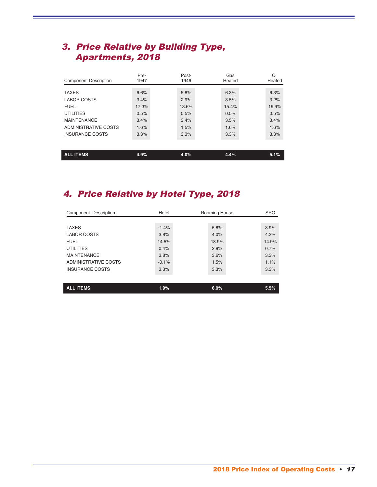# 3. Price Relative by Building Type, Apartments, 2018

| <b>Component Description</b> | Pre-<br>1947 | Post-<br>1946 | Gas<br>Heated | Oil<br>Heated |
|------------------------------|--------------|---------------|---------------|---------------|
|                              |              |               |               |               |
| <b>TAXES</b>                 | 6.6%         | 5.8%          | 6.3%          | 6.3%          |
| <b>LABOR COSTS</b>           | 3.4%         | 2.9%          | 3.5%          | 3.2%          |
| <b>FUEL</b>                  | 17.3%        | 13.6%         | 15.4%         | 19.9%         |
| <b>UTILITIES</b>             | 0.5%         | 0.5%          | 0.5%          | 0.5%          |
| <b>MAINTENANCE</b>           | 3.4%         | 3.4%          | 3.5%          | 3.4%          |
| ADMINISTRATIVE COSTS         | 1.6%         | 1.5%          | 1.6%          | 1.6%          |
| <b>INSURANCE COSTS</b>       | 3.3%         | 3.3%          | 3.3%          | 3.3%          |
|                              |              |               |               |               |
|                              |              |               |               |               |
| <b>ALL ITEMS</b>             | 4.9%         | 4.0%          | 4.4%          | 5.1%          |

# 4. Price Relative by Hotel Type, 2018

| Component Description  | Hotel   | Rooming House | <b>SRO</b> |
|------------------------|---------|---------------|------------|
|                        |         |               |            |
| <b>TAXES</b>           | $-1.4%$ | 5.8%          | 3.9%       |
| <b>LABOR COSTS</b>     | 3.8%    | 4.0%          | 4.3%       |
| <b>FUEL</b>            | 14.5%   | 18.9%         | 14.9%      |
| <b>UTILITIES</b>       | 0.4%    | 2.8%          | 0.7%       |
| <b>MAINTENANCE</b>     | 3.8%    | 3.6%          | 3.3%       |
| ADMINISTRATIVE COSTS   | $-0.1%$ | 1.5%          | 1.1%       |
| <b>INSURANCE COSTS</b> | 3.3%    | 3.3%          | 3.3%       |
|                        |         |               |            |
| <b>ALL ITEMS</b>       | 1.9%    | 6.0%          | 5.5%       |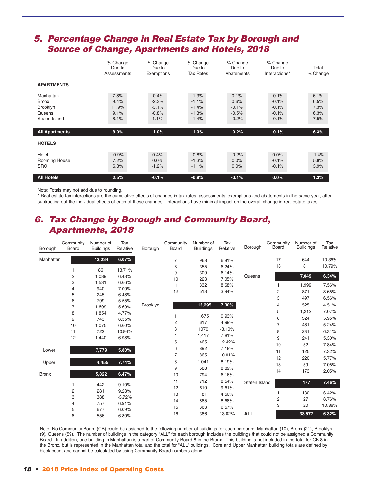## 5. Percentage Change in Real Estate Tax by Borough and Source of Change, Apartments and Hotels, 2018

|                                                                  | % Change<br>Due to<br>Assessments     | % Change<br>Due to<br>Exemptions                 | % Change<br>Due to<br><b>Tax Rates</b>              | % Change<br>Due to<br>Abatements              | % Change<br>Due to<br>Interactions*                 | Total<br>% Change                    |
|------------------------------------------------------------------|---------------------------------------|--------------------------------------------------|-----------------------------------------------------|-----------------------------------------------|-----------------------------------------------------|--------------------------------------|
| <b>APARTMENTS</b>                                                |                                       |                                                  |                                                     |                                               |                                                     |                                      |
| Manhattan<br><b>Bronx</b><br>Brooklyn<br>Queens<br>Staten Island | 7.8%<br>9.4%<br>11.9%<br>9.1%<br>8.1% | $-0.4%$<br>$-2.3%$<br>$-3.1%$<br>$-0.8%$<br>1.1% | $-1.3%$<br>$-1.1%$<br>$-1.4%$<br>$-1.3%$<br>$-1.4%$ | 0.1%<br>0.6%<br>$-0.1%$<br>$-0.5%$<br>$-0.2%$ | $-0.1%$<br>$-0.1%$<br>$-0.1%$<br>$-0.1%$<br>$-0.1%$ | 6.1%<br>6.5%<br>7.3%<br>6.3%<br>7.5% |
| <b>All Apartments</b>                                            | $9.0\%$                               | $-1.0%$                                          | $-1.3%$                                             | $-0.2%$                                       | $-0.1%$                                             | 6.3%                                 |
| <b>HOTELS</b>                                                    |                                       |                                                  |                                                     |                                               |                                                     |                                      |
| Hotel<br>Rooming House<br><b>SRO</b>                             | $-0.9%$<br>7.2%<br>6.3%               | 0.4%<br>0.0%<br>$-1.2%$                          | $-0.8%$<br>$-1.3%$<br>$-1.1%$                       | $-0.2%$<br>0.0%<br>0.0%                       | 0.0%<br>$-0.1%$<br>$-0.1%$                          | $-1.4%$<br>5.8%<br>3.9%              |
| <b>All Hotels</b>                                                | 2.5%                                  | $-0.1%$                                          | $-0.9%$                                             | $-0.1%$                                       | 0.0%                                                | 1.3%                                 |

Note: Totals may not add due to rounding.

\* Real estate tax interactions are the cumulative effects of changes in tax rates, assessments, exemptions and abatements in the same year, after subtracting out the individual effects of each of these changes. Interactions have minimal impact on the overall change in real estate taxes.

## 6. Tax Change by Borough and Community Board, Apartments, 2018

| Borough      | Community<br>Board      | Number of<br><b>Buildings</b> | Tax<br>Relative | Borough  | Community<br>Board | Number of<br><b>Buildings</b> | Tax<br>Relative | Borough       | Community<br>Board | Number of<br><b>Buildings</b> | Tax<br>Relative |
|--------------|-------------------------|-------------------------------|-----------------|----------|--------------------|-------------------------------|-----------------|---------------|--------------------|-------------------------------|-----------------|
| Manhattan    |                         | 12,234                        | 6.07%           |          | 7                  | 968                           | 6.81%           |               | 17                 | 644                           | 10.36%          |
|              |                         |                               |                 |          | 8                  | 355                           | 6.24%           |               | 18                 | 81                            | 10.79%          |
|              | 1                       | 86                            | 13.71%          |          | 9                  | 309                           | 6.14%           |               |                    |                               |                 |
|              | 2                       | 1,089                         | 6.43%           |          | 10                 | 223                           | 7.05%           | Queens        |                    | 7,049                         | 6.34%           |
|              | 3                       | 1,531                         | 6.66%           |          | 11                 | 332                           | 8.68%           |               | 1                  | 1,999                         | 7.56%           |
|              | 4                       | 940                           | 7.00%           |          | 12                 | 513                           | 3.94%           |               | 2                  | 871                           | 8.65%           |
|              | 5                       | 245                           | 6.48%           | Brooklyn |                    |                               |                 |               | 3                  | 497                           | 6.56%           |
|              | 6                       | 799                           | 5.55%           |          |                    | 13,295                        | 7.30%           |               | 4                  | 525                           | 4.51%           |
|              | $\overline{7}$          | 1,699                         | 5.69%           |          |                    |                               |                 |               |                    |                               |                 |
|              | 8                       | 1,854                         | 4.77%           |          | 1                  | 1,675                         | 0.93%           |               | 5                  | 1,212                         | 7.07%           |
|              | 9                       | 743                           | 8.35%           |          | 2                  | 617                           | 4.99%           |               | 6                  | 324                           | 5.95%           |
|              | 10                      | 1,075                         | 6.60%           |          | 3                  | 1070                          | $-3.10%$        |               | 7                  | 461                           | 5.24%           |
|              | 11                      | 722                           | 10.94%          |          |                    |                               |                 |               | 8                  | 231                           | 6.31%           |
|              | 12                      | 1,440                         | 6.98%           |          | 4                  | 1,417                         | 7.81%           |               | 9                  | 241                           | 5.30%           |
|              |                         |                               |                 |          | 5                  | 465                           | 12.42%          |               | 10                 | 52                            | 7.84%           |
| Lower        |                         | 7,779                         | 5.80%           |          | 6                  | 892                           | 7.18%           |               | 11                 | 125                           | 7.32%           |
|              |                         |                               |                 |          | $\overline{7}$     | 865                           | 10.01%          |               | 12                 | 220                           | 5.77%           |
| Upper        |                         | 4,455                         | 7.74%           |          | 8                  | 1,041                         | 8.19%           |               | 13                 | 59                            | 7.05%           |
|              |                         |                               |                 |          | 9                  | 588                           | 8.89%           |               | 14                 | 173                           | 2.05%           |
| <b>Bronx</b> |                         | 5,822                         | 6.47%           |          | 10                 | 794                           | 6.16%           |               |                    |                               |                 |
|              |                         |                               |                 |          | 11                 | 712                           | 8.54%           | Staten Island |                    | 177                           | 7.46%           |
|              |                         | 442                           | 9.10%           |          | 12                 | 610                           | 9.61%           |               |                    |                               |                 |
|              | $\overline{\mathbf{c}}$ | 281                           | 9.28%           |          | 13                 | 181                           | 4.50%           |               | 1                  | 130                           | 6.42%           |
|              | 3                       | 388                           | $-3.72%$        |          | 14                 | 885                           | 8.68%           |               | 2                  | 27                            | 8.76%           |
|              | 4                       | 757                           | 6.91%           |          | 15                 | 363                           | 6.57%           |               | 3                  | 20                            | 10.36%          |
|              | 5                       | 677                           | 6.09%           |          |                    |                               |                 |               |                    |                               |                 |
|              | 6                       | 556                           | 6.80%           |          | 16                 | 386                           | 13.02%          | <b>ALL</b>    |                    | 38,577                        | 6.32%           |

Note: No Community Board (CB) could be assigned to the following number of buildings for each borough: Manhattan (10), Bronx (21), Brooklyn (9), Queens (59). The number of buildings in the category "ALL" for each borough includes the buildings that could not be assigned a Community Board. In addition, one building in Manhattan is a part of Community Board 8 in the Bronx. This building is not included in the total for CB 8 in the Bronx, but is represented in the Manhattan total and the total for "ALL" buildings. Core and Upper Manhattan building totals are defined by block count and cannot be calculated by using Community Board numbers alone.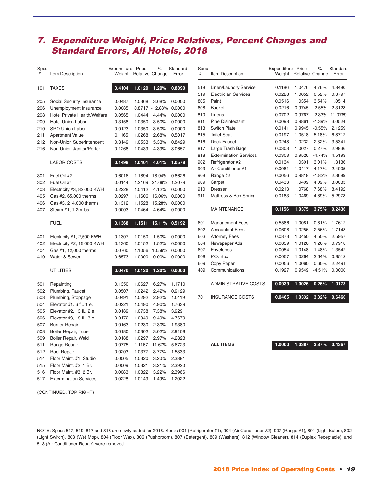# 7. Expenditure Weight, Price Relatives, Percent Changes and Standard Errors, All Hotels, 2018

| Spec |                                     | Expenditure | Price           | $\%$      | Standard |
|------|-------------------------------------|-------------|-----------------|-----------|----------|
| #    | Item Description                    | Weight      | Relative Change |           | Error    |
| 101  | <b>TAXES</b>                        | 0.4104      | 1.0129          | 1.29%     | 0.8890   |
|      |                                     |             |                 |           |          |
| 205  | Social Security Insurance           | 0.0487      | 1.0368          | 3.68%     | 0.0000   |
| 206  | Unemployment Insurance              | 0.0085      | 0.8717          | $-12.83%$ | 0.0000   |
| 208  | <b>Hotel Private Health/Welfare</b> | 0.0565      | 1.0444          | 4.44%     | 0.0000   |
| 209  | <b>Hotel Union Labor</b>            | 0.3158      | 1.0350          | 3.50%     | 0.0000   |
| 210  | <b>SRO Union Labor</b>              | 0.0123      | 1.0350          | 3.50%     | 0.0000   |
| 211  | <b>Apartment Value</b>              | 0.1165      | 1.0268          | 2.68%     | 0.5017   |
| 212  | Non-Union Superintendent            | 0.3149      | 1.0533          | 5.33%     | 0.8429   |
| 216  | Non-Union Janitor/Porter            | 0.1268      | 1.0439          | 4.39%     | 8.0657   |
|      |                                     |             |                 |           |          |
|      | <b>LABOR COSTS</b>                  | 0.1498      | 1.0401          | 4.01%     | 1.0578   |
| 301  | Fuel Oil #2                         | 0.6016      | 1.1894          | 18.94%    | 0.8626   |
| 302  | Fuel Oil #4                         | 0.0144      | 1.2169          | 21.69%    | 1.2079   |
| 403  | Electricity #3, 82,000 KWH          | 0.2228      | 1.0412          | 4.12%     | 0.0000   |
| 405  | Gas #2, 65,000 therms               | 0.0297      | 1.1606          | 16.06%    | 0.0000   |
| 406  | Gas #3, 214,000 therms              | 0.1312      | 1.1528          | 15.28%    | 0.0000   |
| 407  | Steam #1, 1.2m lbs                  | 0.0003      | 1.0464          | 4.64%     | 0.0000   |
|      |                                     |             |                 |           |          |
|      | <b>FUEL</b>                         | 0.1368      | 1.1511          | 15.11%    | 0.5192   |
| 401  | Electricity #1, 2,500 KWH           | 0.1307      | 1.0150          | 1.50%     | 0.0000   |
| 402  | Electricity #2, 15,000 KWH          | 0.1360      | 1.0152          | 1.52%     | 0.0000   |
| 404  | Gas #1, 12,000 therms               | 0.0760      | 1.1056          | 10.56%    | 0.0000   |
| 410  | Water & Sewer                       | 0.6573      | 1.0000          | 0.00%     | 0.0000   |
|      | <b>UTILITIES</b>                    | 0.0470      | 1.0120          | 1.20%     | 0.0000   |
|      |                                     |             |                 |           |          |
| 501  | Repainting                          | 0.1350      | 1.0627          | 6.27%     | 1.1710   |
| 502  | Plumbing, Faucet                    | 0.0507      | 1.0242          | 2.42%     | 0.9129   |
| 503  | Plumbing, Stoppage                  | 0.0491      | 1.0292          | 2.92%     | 1.0119   |
| 504  | Elevator #1, 6 fl., 1 e.            | 0.0221      | 1.0490          | 4.90%     | 1.7639   |
| 505  | Elevator #2, 13 fl., 2 e.           | 0.0189      | 1.0738          | 7.38%     | 3.9291   |
| 506  | Elevator #3, 19 fl., 3 e.           | 0.0172      | 1.0949          | 9.49%     | 4.7679   |
| 507  | <b>Burner Repair</b>                | 0.0163      | 1.0230          | 2.30%     | 1.9380   |
| 508  | Boiler Repair, Tube                 | 0.0180      | 1.0302          | 3.02%     | 2.9108   |
| 509  | Boiler Repair, Weld                 | 0.0188      | 1.0297          | 2.97%     | 4.2823   |
| 511  | Range Repair                        | 0.0775      | 1.1167          | 11.67%    | 5.6723   |
| 512  | Roof Repair                         | 0.0203      | 1.0377          | 3.77%     | 1.5333   |
| 514  | Floor Maint. #1, Studio             | 0.0005      | 1.0320          | 3.20%     | 2.3881   |
| 515  | Floor Maint. #2, 1 Br.              | 0.0009      | 1.0321          | 3.21%     | 2.3920   |
| 516  | Floor Maint. #3, 2 Br.              | 0.0083      | 1.0322          | 3.22%     | 2.3966   |
| 517  | <b>Extermination Services</b>       | 0.0228      | 1.0149          | 1.49%     | 1.2022   |

| Spec<br># | Item Description              | Expenditure<br>Weight | Price<br>Relative Change | $\frac{1}{\alpha}$ | Standard<br>Error |
|-----------|-------------------------------|-----------------------|--------------------------|--------------------|-------------------|
| 518       | Linen/Laundry Service         | 0.1186                | 1.0476                   | 4.76%              | 4.8480            |
| 519       | <b>Electrician Services</b>   | 0.0228                | 1.0052                   | 0.52%              | 0.3797            |
| 805       | Paint                         | 0.0516                | 1.0354                   | 3.54%              | 1.0514            |
| 808       | <b>Bucket</b>                 | 0.0216                | 0.9745                   | $-2.55%$           | 2.3123            |
| 810       | Linens                        | 0.0702                | 0.9767                   | $-2.33%$           | 11.0769           |
| 811       | <b>Pine Disinfectant</b>      | 0.0098                | 0.9861                   | $-1.39%$           | 3.0524            |
| 813       | <b>Switch Plate</b>           | 0.0141                | 0.9945                   | $-0.55%$           | 2.1259            |
| 815       | <b>Toilet Seat</b>            | 0.0197                | 1.0518                   | 5.18%              | 6.8712            |
| 816       | <b>Deck Faucet</b>            | 0.0248                | 1.0232                   | 2.32%              | 3.5341            |
| 817       | Large Trash Bags              | 0.0303                | 1.0027                   | 0.27%              | 2.9836            |
| 818       | <b>Extermination Services</b> | 0.0303                | 0.9526                   | $-4.74%$           | 4.5193            |
| 902       | Refrigerator #2               | 0.0134                | 1.0301                   | 3.01%              | 1.3136            |
| 903       | Air Conditioner #1            | 0.0081                | 1.0417                   | 4.17%              | 2.4005            |
| 908       | Range #2                      | 0.0056                | 0.9818                   | $-1.82%$           | 2.3689            |
| 909       | Carpet                        | 0.0433                | 1.0409                   | 4.09%              | 3.0033            |
| 910       | Dresser                       | 0.0213                | 1.0768                   | 7.68%              | 8.4192            |
| 911       | Mattress & Box Spring         | 0.0183                | 1.0469                   | 4.69%              | 5.2973            |
|           | <b>MAINTENANCE</b>            | 0.1156                | 1.0375                   | 3.75%              | 0.2436            |
| 601       | <b>Management Fees</b>        | 0.5586                | 1.0081                   | 0.81%              | 1.7612            |
| 602       | <b>Accountant Fees</b>        | 0.0608                | 1.0256                   | 2.56%              | 1.7148            |
| 603       | <b>Attorney Fees</b>          | 0.0873                | 1.0450                   | 4.50%              | 2.5957            |
| 604       | Newspaper Ads                 | 0.0839                | 1.0126                   | 1.26%              | 0.7918            |
| 607       | Envelopes                     | 0.0054                | 1.0148                   | 1.48%              | 1.3542            |
| 608       | P.O. Box                      | 0.0057                | 1.0264                   | 2.64%              | 0.8512            |
| 609       | Copy Paper                    | 0.0056                | 1.0060                   | 0.60%              | 2.2491            |
| 409       | Communications                | 0.1927                | 0.9549                   | $-4.51%$           | 0.0000            |
|           | <b>ADMINISTRATIVE COSTS</b>   | 0.0939                | 1.0026                   | 0.26%              | 1.0173            |
| 701       | <b>INSURANCE COSTS</b>        | 0.0465                | 1.0332                   | 3.32%              | 0.6460            |
|           |                               |                       |                          |                    |                   |

**ALL ITEMS 1.0000 1.0387 3.87% 0.4367**

(CONTINUED, TOP RIGHT)

NOTE: Specs 517, 519, 817 and 818 are newly added for 2018. Specs 901 (Refrigerator #1), 904 (Air Conditioner #2), 907 (Range #1), 801 (Light Bulbs), 802 (Light Switch), 803 (Wet Mop), 804 (Floor Wax), 806 (Pushbroom), 807 (Detergent), 809 (Washers), 812 (Window Cleaner), 814 (Duplex Receptacle), and (Air Conditioner Repair) were removed.